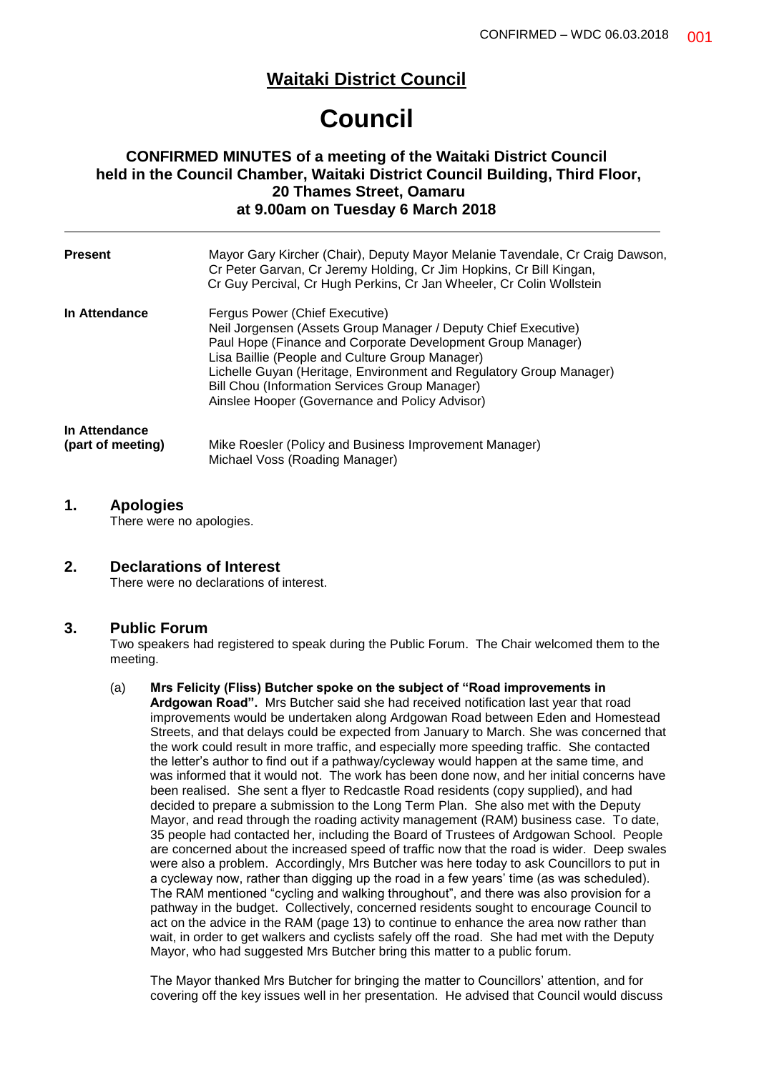## **Waitaki District Council**

# **Council**

## **CONFIRMED MINUTES of a meeting of the Waitaki District Council held in the Council Chamber, Waitaki District Council Building, Third Floor, 20 Thames Street, Oamaru at 9.00am on Tuesday 6 March 2018**

| <b>Present</b>                     | Mayor Gary Kircher (Chair), Deputy Mayor Melanie Tavendale, Cr Craig Dawson,<br>Cr Peter Garvan, Cr Jeremy Holding, Cr Jim Hopkins, Cr Bill Kingan,<br>Cr Guy Percival, Cr Hugh Perkins, Cr Jan Wheeler, Cr Colin Wollstein                                                                                                                                                                   |  |  |
|------------------------------------|-----------------------------------------------------------------------------------------------------------------------------------------------------------------------------------------------------------------------------------------------------------------------------------------------------------------------------------------------------------------------------------------------|--|--|
| In Attendance                      | Fergus Power (Chief Executive)<br>Neil Jorgensen (Assets Group Manager / Deputy Chief Executive)<br>Paul Hope (Finance and Corporate Development Group Manager)<br>Lisa Baillie (People and Culture Group Manager)<br>Lichelle Guyan (Heritage, Environment and Regulatory Group Manager)<br>Bill Chou (Information Services Group Manager)<br>Ainslee Hooper (Governance and Policy Advisor) |  |  |
| In Attendance<br>(part of meeting) | Mike Roesler (Policy and Business Improvement Manager)<br>Michael Voss (Roading Manager)                                                                                                                                                                                                                                                                                                      |  |  |

### **1. Apologies**

There were no apologies.

## **2. Declarations of Interest**

There were no declarations of interest.

### **3. Public Forum**

Two speakers had registered to speak during the Public Forum. The Chair welcomed them to the meeting.

#### (a) **Mrs Felicity (Fliss) Butcher spoke on the subject of "Road improvements in Ardgowan Road".** Mrs Butcher said she had received notification last year that road improvements would be undertaken along Ardgowan Road between Eden and Homestead Streets, and that delays could be expected from January to March. She was concerned that the work could result in more traffic, and especially more speeding traffic. She contacted the letter's author to find out if a pathway/cycleway would happen at the same time, and was informed that it would not. The work has been done now, and her initial concerns have been realised. She sent a flyer to Redcastle Road residents (copy supplied), and had decided to prepare a submission to the Long Term Plan. She also met with the Deputy Mayor, and read through the roading activity management (RAM) business case. To date, 35 people had contacted her, including the Board of Trustees of Ardgowan School. People are concerned about the increased speed of traffic now that the road is wider. Deep swales were also a problem. Accordingly, Mrs Butcher was here today to ask Councillors to put in a cycleway now, rather than digging up the road in a few years' time (as was scheduled). The RAM mentioned "cycling and walking throughout", and there was also provision for a pathway in the budget. Collectively, concerned residents sought to encourage Council to act on the advice in the RAM (page 13) to continue to enhance the area now rather than wait, in order to get walkers and cyclists safely off the road. She had met with the Deputy Mayor, who had suggested Mrs Butcher bring this matter to a public forum.

The Mayor thanked Mrs Butcher for bringing the matter to Councillors' attention, and for covering off the key issues well in her presentation. He advised that Council would discuss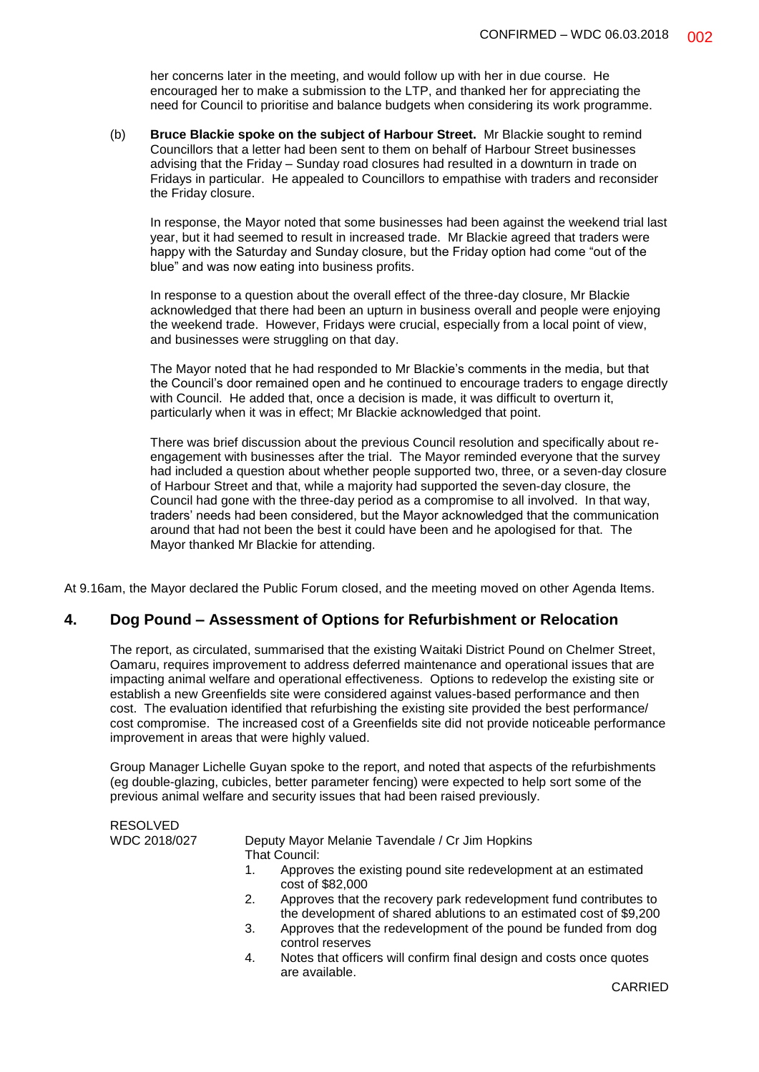her concerns later in the meeting, and would follow up with her in due course. He encouraged her to make a submission to the LTP, and thanked her for appreciating the need for Council to prioritise and balance budgets when considering its work programme.

(b) **Bruce Blackie spoke on the subject of Harbour Street.** Mr Blackie sought to remind Councillors that a letter had been sent to them on behalf of Harbour Street businesses advising that the Friday – Sunday road closures had resulted in a downturn in trade on Fridays in particular. He appealed to Councillors to empathise with traders and reconsider the Friday closure.

In response, the Mayor noted that some businesses had been against the weekend trial last year, but it had seemed to result in increased trade. Mr Blackie agreed that traders were happy with the Saturday and Sunday closure, but the Friday option had come "out of the blue" and was now eating into business profits.

In response to a question about the overall effect of the three-day closure, Mr Blackie acknowledged that there had been an upturn in business overall and people were enjoying the weekend trade. However, Fridays were crucial, especially from a local point of view, and businesses were struggling on that day.

The Mayor noted that he had responded to Mr Blackie's comments in the media, but that the Council's door remained open and he continued to encourage traders to engage directly with Council. He added that, once a decision is made, it was difficult to overturn it, particularly when it was in effect; Mr Blackie acknowledged that point.

There was brief discussion about the previous Council resolution and specifically about reengagement with businesses after the trial. The Mayor reminded everyone that the survey had included a question about whether people supported two, three, or a seven-day closure of Harbour Street and that, while a majority had supported the seven-day closure, the Council had gone with the three-day period as a compromise to all involved. In that way, traders' needs had been considered, but the Mayor acknowledged that the communication around that had not been the best it could have been and he apologised for that. The Mayor thanked Mr Blackie for attending.

At 9.16am, the Mayor declared the Public Forum closed, and the meeting moved on other Agenda Items.

## **4. Dog Pound – Assessment of Options for Refurbishment or Relocation**

The report, as circulated, summarised that the existing Waitaki District Pound on Chelmer Street, Oamaru, requires improvement to address deferred maintenance and operational issues that are impacting animal welfare and operational effectiveness. Options to redevelop the existing site or establish a new Greenfields site were considered against values-based performance and then cost. The evaluation identified that refurbishing the existing site provided the best performance/ cost compromise. The increased cost of a Greenfields site did not provide noticeable performance improvement in areas that were highly valued.

Group Manager Lichelle Guyan spoke to the report, and noted that aspects of the refurbishments (eg double-glazing, cubicles, better parameter fencing) were expected to help sort some of the previous animal welfare and security issues that had been raised previously.

RESOLVED WDC 2018/027 Deputy Mayor Melanie Tavendale / Cr Jim Hopkins That Council: 1. Approves the existing pound site redevelopment at an estimated cost of \$82,000

- 2. Approves that the recovery park redevelopment fund contributes to the development of shared ablutions to an estimated cost of \$9,200
- 3. Approves that the redevelopment of the pound be funded from dog control reserves
- 4. Notes that officers will confirm final design and costs once quotes are available.

CARRIED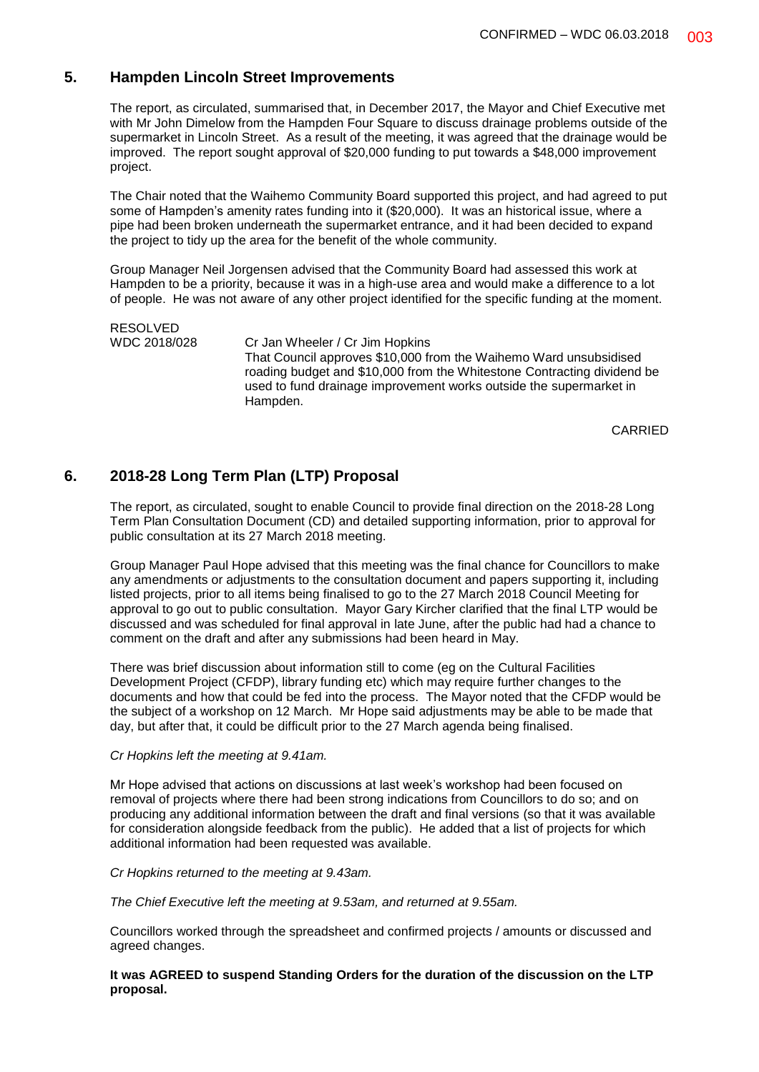## **5. Hampden Lincoln Street Improvements**

The report, as circulated, summarised that, in December 2017, the Mayor and Chief Executive met with Mr John Dimelow from the Hampden Four Square to discuss drainage problems outside of the supermarket in Lincoln Street. As a result of the meeting, it was agreed that the drainage would be improved. The report sought approval of \$20,000 funding to put towards a \$48,000 improvement project.

The Chair noted that the Waihemo Community Board supported this project, and had agreed to put some of Hampden's amenity rates funding into it (\$20,000). It was an historical issue, where a pipe had been broken underneath the supermarket entrance, and it had been decided to expand the project to tidy up the area for the benefit of the whole community.

Group Manager Neil Jorgensen advised that the Community Board had assessed this work at Hampden to be a priority, because it was in a high-use area and would make a difference to a lot of people. He was not aware of any other project identified for the specific funding at the moment.

RESOLVED WDC 2018/028 Cr Jan Wheeler / Cr Jim Hopkins That Council approves \$10,000 from the Waihemo Ward unsubsidised roading budget and \$10,000 from the Whitestone Contracting dividend be used to fund drainage improvement works outside the supermarket in Hampden.

CARRIED

## **6. 2018-28 Long Term Plan (LTP) Proposal**

The report, as circulated, sought to enable Council to provide final direction on the 2018-28 Long Term Plan Consultation Document (CD) and detailed supporting information, prior to approval for public consultation at its 27 March 2018 meeting.

Group Manager Paul Hope advised that this meeting was the final chance for Councillors to make any amendments or adjustments to the consultation document and papers supporting it, including listed projects, prior to all items being finalised to go to the 27 March 2018 Council Meeting for approval to go out to public consultation. Mayor Gary Kircher clarified that the final LTP would be discussed and was scheduled for final approval in late June, after the public had had a chance to comment on the draft and after any submissions had been heard in May.

There was brief discussion about information still to come (eg on the Cultural Facilities Development Project (CFDP), library funding etc) which may require further changes to the documents and how that could be fed into the process. The Mayor noted that the CFDP would be the subject of a workshop on 12 March. Mr Hope said adjustments may be able to be made that day, but after that, it could be difficult prior to the 27 March agenda being finalised.

#### *Cr Hopkins left the meeting at 9.41am.*

Mr Hope advised that actions on discussions at last week's workshop had been focused on removal of projects where there had been strong indications from Councillors to do so; and on producing any additional information between the draft and final versions (so that it was available for consideration alongside feedback from the public). He added that a list of projects for which additional information had been requested was available.

#### *Cr Hopkins returned to the meeting at 9.43am.*

*The Chief Executive left the meeting at 9.53am, and returned at 9.55am.*

Councillors worked through the spreadsheet and confirmed projects / amounts or discussed and agreed changes.

**It was AGREED to suspend Standing Orders for the duration of the discussion on the LTP proposal.**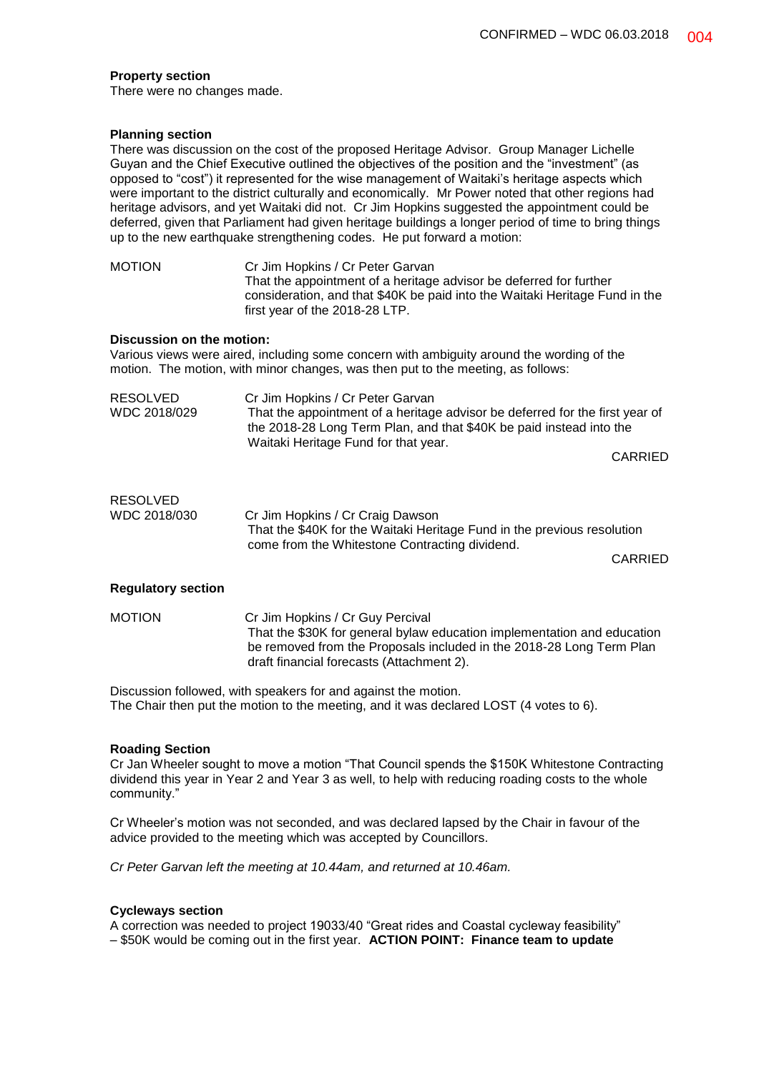#### **Property section**

There were no changes made.

#### **Planning section**

There was discussion on the cost of the proposed Heritage Advisor. Group Manager Lichelle Guyan and the Chief Executive outlined the objectives of the position and the "investment" (as opposed to "cost") it represented for the wise management of Waitaki's heritage aspects which were important to the district culturally and economically. Mr Power noted that other regions had heritage advisors, and yet Waitaki did not. Cr Jim Hopkins suggested the appointment could be deferred, given that Parliament had given heritage buildings a longer period of time to bring things up to the new earthquake strengthening codes. He put forward a motion:

MOTION Cr Jim Hopkins / Cr Peter Garvan That the appointment of a heritage advisor be deferred for further consideration, and that \$40K be paid into the Waitaki Heritage Fund in the first year of the 2018-28 LTP.

#### **Discussion on the motion:**

Various views were aired, including some concern with ambiguity around the wording of the motion. The motion, with minor changes, was then put to the meeting, as follows:

| RESOLVED     | Cr Jim Hopkins / Cr Peter Garvan                                             |
|--------------|------------------------------------------------------------------------------|
| WDC 2018/029 | That the appointment of a heritage advisor be deferred for the first year of |
|              | the 2018-28 Long Term Plan, and that \$40K be paid instead into the          |
|              | Waitaki Heritage Fund for that year.                                         |
|              | CADDIPD                                                                      |

CARRIED

# RESOLVED

WDC 2018/030 Cr Jim Hopkins / Cr Craig Dawson That the \$40K for the Waitaki Heritage Fund in the previous resolution come from the Whitestone Contracting dividend.

CARRIED

#### **Regulatory section**

MOTION Cr Jim Hopkins / Cr Guy Percival That the \$30K for general bylaw education implementation and education be removed from the Proposals included in the 2018-28 Long Term Plan draft financial forecasts (Attachment 2).

Discussion followed, with speakers for and against the motion. The Chair then put the motion to the meeting, and it was declared LOST (4 votes to 6).

#### **Roading Section**

Cr Jan Wheeler sought to move a motion "That Council spends the \$150K Whitestone Contracting dividend this year in Year 2 and Year 3 as well, to help with reducing roading costs to the whole community."

Cr Wheeler's motion was not seconded, and was declared lapsed by the Chair in favour of the advice provided to the meeting which was accepted by Councillors.

*Cr Peter Garvan left the meeting at 10.44am, and returned at 10.46am.*

#### **Cycleways section**

A correction was needed to project 19033/40 "Great rides and Coastal cycleway feasibility" – \$50K would be coming out in the first year. **ACTION POINT: Finance team to update**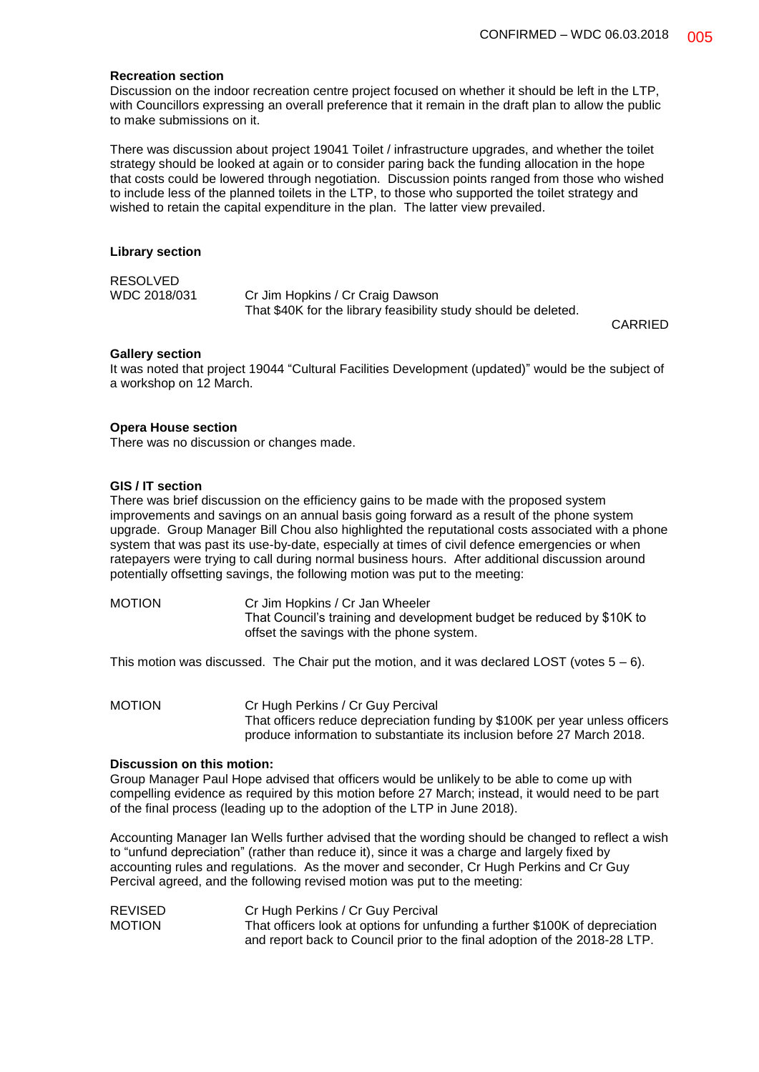#### **Recreation section**

Discussion on the indoor recreation centre project focused on whether it should be left in the LTP, with Councillors expressing an overall preference that it remain in the draft plan to allow the public to make submissions on it.

There was discussion about project 19041 Toilet / infrastructure upgrades, and whether the toilet strategy should be looked at again or to consider paring back the funding allocation in the hope that costs could be lowered through negotiation. Discussion points ranged from those who wished to include less of the planned toilets in the LTP, to those who supported the toilet strategy and wished to retain the capital expenditure in the plan. The latter view prevailed.

#### **Library section**

## RESOLVED

WDC 2018/031 Cr Jim Hopkins / Cr Craig Dawson That \$40K for the library feasibility study should be deleted.

CARRIED

#### **Gallery section**

It was noted that project 19044 "Cultural Facilities Development (updated)" would be the subject of a workshop on 12 March.

#### **Opera House section**

There was no discussion or changes made.

#### **GIS / IT section**

There was brief discussion on the efficiency gains to be made with the proposed system improvements and savings on an annual basis going forward as a result of the phone system upgrade. Group Manager Bill Chou also highlighted the reputational costs associated with a phone system that was past its use-by-date, especially at times of civil defence emergencies or when ratepayers were trying to call during normal business hours. After additional discussion around potentially offsetting savings, the following motion was put to the meeting:

MOTION Cr Jim Hopkins / Cr Jan Wheeler That Council's training and development budget be reduced by \$10K to offset the savings with the phone system.

This motion was discussed. The Chair put the motion, and it was declared LOST (votes  $5 - 6$ ).

MOTION Cr Hugh Perkins / Cr Guy Percival That officers reduce depreciation funding by \$100K per year unless officers produce information to substantiate its inclusion before 27 March 2018.

#### **Discussion on this motion:**

Group Manager Paul Hope advised that officers would be unlikely to be able to come up with compelling evidence as required by this motion before 27 March; instead, it would need to be part of the final process (leading up to the adoption of the LTP in June 2018).

Accounting Manager Ian Wells further advised that the wording should be changed to reflect a wish to "unfund depreciation" (rather than reduce it), since it was a charge and largely fixed by accounting rules and regulations. As the mover and seconder, Cr Hugh Perkins and Cr Guy Percival agreed, and the following revised motion was put to the meeting:

REVISED Cr Hugh Perkins / Cr Guy Percival MOTION That officers look at options for unfunding a further \$100K of depreciation and report back to Council prior to the final adoption of the 2018-28 LTP.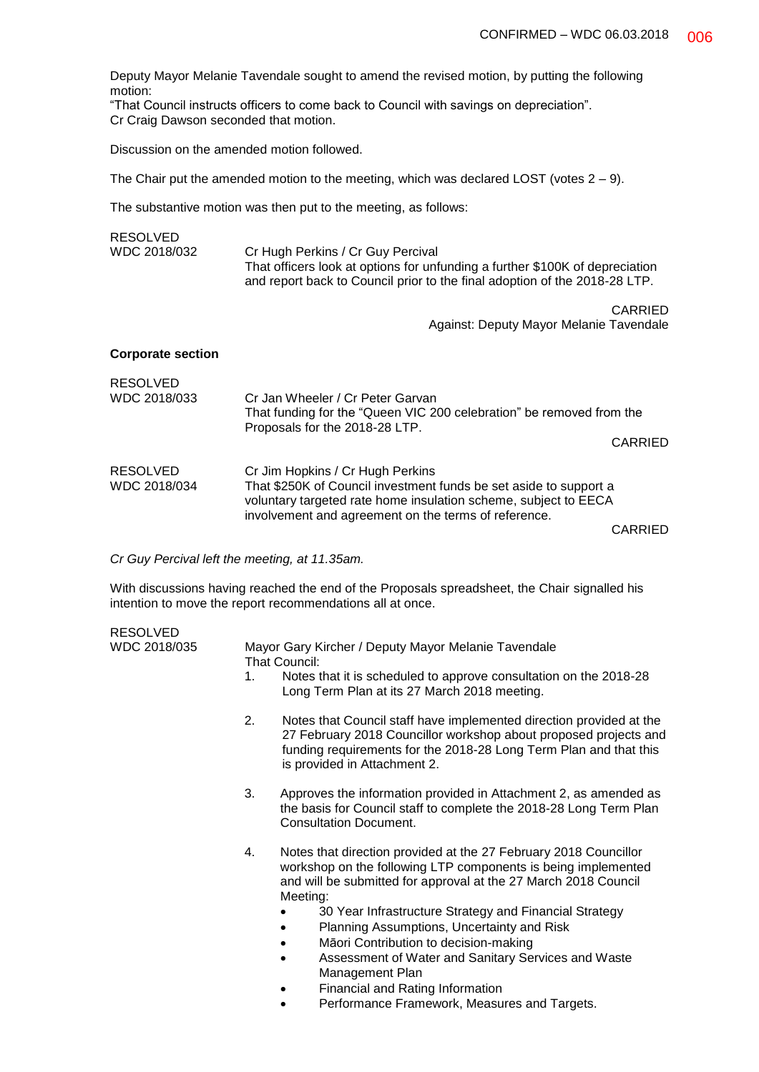Deputy Mayor Melanie Tavendale sought to amend the revised motion, by putting the following motion:

"That Council instructs officers to come back to Council with savings on depreciation". Cr Craig Dawson seconded that motion.

Discussion on the amended motion followed.

The Chair put the amended motion to the meeting, which was declared LOST (votes  $2 - 9$ ).

The substantive motion was then put to the meeting, as follows:

| <b>RESOLVED</b>                 |                                                                                                                                                                                                                                  |  |  |
|---------------------------------|----------------------------------------------------------------------------------------------------------------------------------------------------------------------------------------------------------------------------------|--|--|
| WDC 2018/032                    | Cr Hugh Perkins / Cr Guy Percival<br>That officers look at options for unfunding a further \$100K of depreciation<br>and report back to Council prior to the final adoption of the 2018-28 LTP.                                  |  |  |
|                                 | CARRIED<br>Against: Deputy Mayor Melanie Tavendale                                                                                                                                                                               |  |  |
| <b>Corporate section</b>        |                                                                                                                                                                                                                                  |  |  |
| <b>RESOLVED</b><br>WDC 2018/033 | Cr Jan Wheeler / Cr Peter Garvan<br>That funding for the "Queen VIC 200 celebration" be removed from the<br>Proposals for the 2018-28 LTP.                                                                                       |  |  |
|                                 | <b>CARRIED</b>                                                                                                                                                                                                                   |  |  |
| <b>RESOLVED</b><br>WDC 2018/034 | Cr Jim Hopkins / Cr Hugh Perkins<br>That \$250K of Council investment funds be set aside to support a<br>voluntary targeted rate home insulation scheme, subject to EECA<br>involvement and agreement on the terms of reference. |  |  |

CARRIED

*Cr Guy Percival left the meeting, at 11.35am.*

With discussions having reached the end of the Proposals spreadsheet, the Chair signalled his intention to move the report recommendations all at once.

| <b>RESOLVED</b> |             |                                                                                                                                                                                                                                              |  |  |  |
|-----------------|-------------|----------------------------------------------------------------------------------------------------------------------------------------------------------------------------------------------------------------------------------------------|--|--|--|
| WDC 2018/035    |             | Mayor Gary Kircher / Deputy Mayor Melanie Tavendale<br>That Council:                                                                                                                                                                         |  |  |  |
|                 | $1_{\cdot}$ | Notes that it is scheduled to approve consultation on the 2018-28<br>Long Term Plan at its 27 March 2018 meeting.                                                                                                                            |  |  |  |
|                 | 2.          | Notes that Council staff have implemented direction provided at the<br>27 February 2018 Councillor workshop about proposed projects and<br>funding requirements for the 2018-28 Long Term Plan and that this<br>is provided in Attachment 2. |  |  |  |
|                 | 3.          | Approves the information provided in Attachment 2, as amended as<br>the basis for Council staff to complete the 2018-28 Long Term Plan<br><b>Consultation Document.</b>                                                                      |  |  |  |
|                 | 4.          | Notes that direction provided at the 27 February 2018 Councillor<br>workshop on the following LTP components is being implemented<br>and will be submitted for approval at the 27 March 2018 Council<br>Meeting:                             |  |  |  |
|                 |             | 30 Year Infrastructure Strategy and Financial Strategy                                                                                                                                                                                       |  |  |  |
|                 |             | Planning Assumptions, Uncertainty and Risk                                                                                                                                                                                                   |  |  |  |
|                 |             | Māori Contribution to decision-making                                                                                                                                                                                                        |  |  |  |
|                 |             | Assessment of Water and Sanitary Services and Waste                                                                                                                                                                                          |  |  |  |
|                 |             | Management Plan                                                                                                                                                                                                                              |  |  |  |
|                 |             | Financial and Rating Information                                                                                                                                                                                                             |  |  |  |
|                 |             | Performance Framework, Measures and Targets.                                                                                                                                                                                                 |  |  |  |